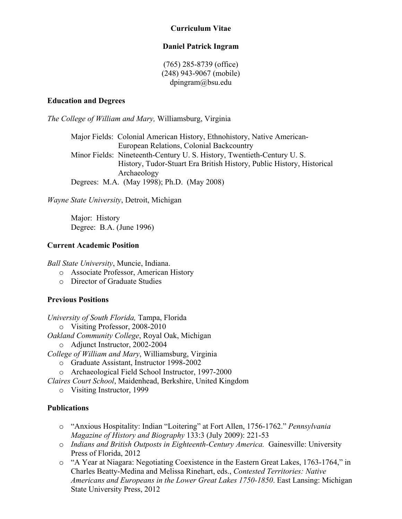### **Curriculum Vitae**

### **Daniel Patrick Ingram**

(765) 285-8739 (office) (248) 943-9067 (mobile) dpingram@bsu.edu

#### **Education and Degrees**

*The College of William and Mary,* Williamsburg, Virginia

Major Fields: Colonial American History, Ethnohistory, Native American-European Relations, Colonial Backcountry Minor Fields: Nineteenth-Century U. S. History, Twentieth-Century U. S. History, Tudor-Stuart Era British History, Public History, Historical Archaeology Degrees: M.A. (May 1998); Ph.D. (May 2008)

*Wayne State University*, Detroit, Michigan

Major: History Degree: B.A. (June 1996)

### **Current Academic Position**

*Ball State University*, Muncie, Indiana.

- o Associate Professor, American History
- o Director of Graduate Studies

### **Previous Positions**

*University of South Florida,* Tampa, Florida

o Visiting Professor, 2008-2010

*Oakland Community College*, Royal Oak, Michigan

o Adjunct Instructor, 2002-2004

*College of William and Mary*, Williamsburg, Virginia

- o Graduate Assistant, Instructor 1998-2002
- o Archaeological Field School Instructor, 1997-2000

*Claires Court School*, Maidenhead, Berkshire, United Kingdom

o Visiting Instructor, 1999

#### **Publications**

- o "Anxious Hospitality: Indian "Loitering" at Fort Allen, 1756-1762." *Pennsylvania Magazine of History and Biography* 133:3 (July 2009): 221-53
- o *Indians and British Outposts in Eighteenth-Century America.* Gainesville: University Press of Florida, 2012
- o "A Year at Niagara: Negotiating Coexistence in the Eastern Great Lakes, 1763-1764," in Charles Beatty-Medina and Melissa Rinehart, eds., *Contested Territories: Native Americans and Europeans in the Lower Great Lakes 1750-1850*. East Lansing: Michigan State University Press, 2012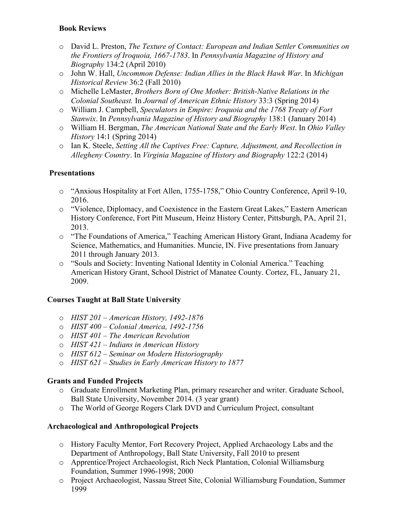### **Book Reviews**

- o David L. Preston, *The Texture of Contact: European and Indian Settler Communities on the Frontiers of Iroquoia, 1667-1783*. In *Pennsylvania Magazine of History and Biography* 134:2 (April 2010)
- o John W. Hall, *Uncommon Defense: Indian Allies in the Black Hawk War*. In *Michigan Historical Review* 36:2 (Fall 2010)
- o Michelle LeMaster, *Brothers Born of One Mother: British-Native Relations in the Colonial Southeast.* In *Journal of American Ethnic History* 33:3 (Spring 2014)
- o William J. Campbell, *Speculators in Empire: Iroquoia and the 1768 Treaty of Fort Stanwix*. In *Pennsylvania Magazine of History and Biography* 138:1 (January 2014)
- o William H. Bergman, *The American National State and the Early West*. In *Ohio Valley History* 14:1 (Spring 2014)
- o Ian K. Steele, *Setting All the Captives Free: Capture, Adjustment, and Recollection in Allegheny Country*. In *Virginia Magazine of History and Biography* 122:2 (2014)

# **Presentations**

- o "Anxious Hospitality at Fort Allen, 1755-1758," Ohio Country Conference, April 9-10, 2016.
- o "Violence, Diplomacy, and Coexistence in the Eastern Great Lakes," Eastern American History Conference, Fort Pitt Museum, Heinz History Center, Pittsburgh, PA, April 21, 2013.
- o "The Foundations of America," Teaching American History Grant, Indiana Academy for Science, Mathematics, and Humanities. Muncie, IN. Five presentations from January 2011 through January 2013.
- o "Souls and Society: Inventing National Identity in Colonial America." Teaching American History Grant, School District of Manatee County. Cortez, FL, January 21, 2009.

# **Courses Taught at Ball State University**

- o *HIST 201 American History, 1492-1876*
- o *HIST 400 – Colonial America, 1492-1756*
- o *HIST 401 The American Revolution*
- o *HIST 421 Indians in American History*
- o *HIST 612 Seminar on Modern Historiography*
- o *HIST 621 Studies in Early American History to 1877*

# **Grants and Funded Projects**

- o Graduate Enrollment Marketing Plan, primary researcher and writer. Graduate School, Ball State University, November 2014. (3 year grant)
- o The World of George Rogers Clark DVD and Curriculum Project, consultant

# **Archaeological and Anthropological Projects**

- o History Faculty Mentor, Fort Recovery Project, Applied Archaeology Labs and the Department of Anthropology, Ball State University, Fall 2010 to present
- o Apprentice/Project Archaeologist, Rich Neck Plantation, Colonial Williamsburg Foundation, Summer 1996-1998; 2000
- o Project Archaeologist, Nassau Street Site, Colonial Williamsburg Foundation, Summer 1999